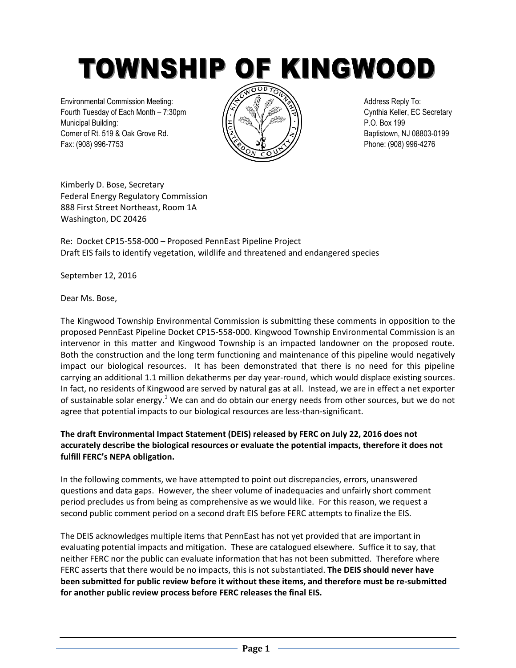# TOWNSHIP OF KINGWOOD

Environmental Commission Meeting: All Address Reply To: Fourth Tuesday of Each Month – 7:30pm  $\sqrt{(\gamma)}$   $\sqrt{\gamma}$   $\sqrt{\gamma}$  and  $\sqrt{\gamma}$  and  $\sqrt{\gamma}$  Cynthia Keller, EC Secretary Municipal Building: P.O. Box 199 Corner of Rt. 519 & Oak Grove Rd.  $\sqrt{2}$   $\sqrt{2}$   $\sqrt{2}$   $\sqrt{2}$  Baptistown, NJ 08803-0199 Fax: (908) 996-7753 Phone: (908) 996-4276



Kimberly D. Bose, Secretary Federal Energy Regulatory Commission 888 First Street Northeast, Room 1A Washington, DC 20426

Re: Docket CP15-558-000 – Proposed PennEast Pipeline Project Draft EIS fails to identify vegetation, wildlife and threatened and endangered species

September 12, 2016

Dear Ms. Bose,

The Kingwood Township Environmental Commission is submitting these comments in opposition to the proposed PennEast Pipeline Docket CP15-558-000. Kingwood Township Environmental Commission is an intervenor in this matter and Kingwood Township is an impacted landowner on the proposed route. Both the construction and the long term functioning and maintenance of this pipeline would negatively impact our biological resources. It has been demonstrated that there is no need for this pipeline carrying an additional 1.1 million dekatherms per day year-round, which would displace existing sources. In fact, no residents of Kingwood are served by natural gas at all. Instead, we are in effect a net exporter of sustainable solar energy.<sup>1</sup> We can and do obtain our energy needs from other sources, but we do not agree that potential impacts to our biological resources are less-than-significant.

# **The draft Environmental Impact Statement (DEIS) released by FERC on July 22, 2016 does not accurately describe the biological resources or evaluate the potential impacts, therefore it does not fulfill FERC's NEPA obligation.**

In the following comments, we have attempted to point out discrepancies, errors, unanswered questions and data gaps. However, the sheer volume of inadequacies and unfairly short comment period precludes us from being as comprehensive as we would like. For this reason, we request a second public comment period on a second draft EIS before FERC attempts to finalize the EIS.

The DEIS acknowledges multiple items that PennEast has not yet provided that are important in evaluating potential impacts and mitigation. These are catalogued elsewhere. Suffice it to say, that neither FERC nor the public can evaluate information that has not been submitted. Therefore where FERC asserts that there would be no impacts, this is not substantiated. **The DEIS should never have been submitted for public review before it without these items, and therefore must be re-submitted for another public review process before FERC releases the final EIS.**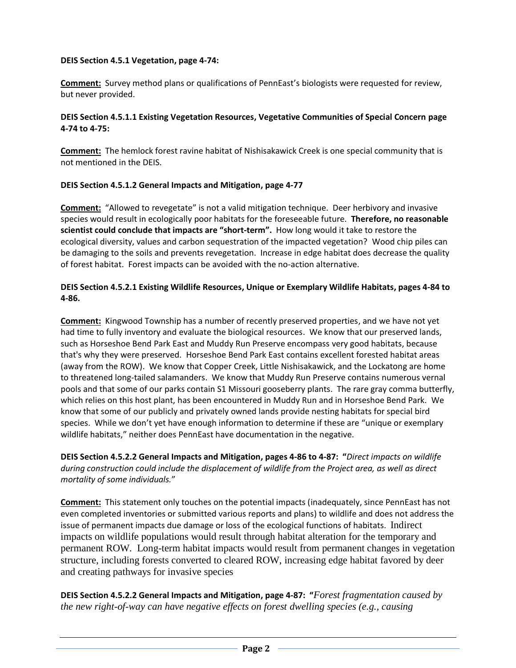### **DEIS Section 4.5.1 Vegetation, page 4-74:**

**Comment:** Survey method plans or qualifications of PennEast's biologists were requested for review, but never provided.

### **DEIS Section 4.5.1.1 Existing Vegetation Resources, Vegetative Communities of Special Concern page 4-74 to 4-75:**

**Comment:** The hemlock forest ravine habitat of Nishisakawick Creek is one special community that is not mentioned in the DEIS.

### **DEIS Section 4.5.1.2 General Impacts and Mitigation, page 4-77**

**Comment:** "Allowed to revegetate" is not a valid mitigation technique. Deer herbivory and invasive species would result in ecologically poor habitats for the foreseeable future. **Therefore, no reasonable scientist could conclude that impacts are "short-term".** How long would it take to restore the ecological diversity, values and carbon sequestration of the impacted vegetation? Wood chip piles can be damaging to the soils and prevents revegetation. Increase in edge habitat does decrease the quality of forest habitat. Forest impacts can be avoided with the no-action alternative.

### **DEIS Section 4.5.2.1 Existing Wildlife Resources, Unique or Exemplary Wildlife Habitats, pages 4-84 to 4-86.**

**Comment:** Kingwood Township has a number of recently preserved properties, and we have not yet had time to fully inventory and evaluate the biological resources. We know that our preserved lands, such as Horseshoe Bend Park East and Muddy Run Preserve encompass very good habitats, because that's why they were preserved. Horseshoe Bend Park East contains excellent forested habitat areas (away from the ROW). We know that Copper Creek, Little Nishisakawick, and the Lockatong are home to threatened long-tailed salamanders. We know that Muddy Run Preserve contains numerous vernal pools and that some of our parks contain S1 Missouri gooseberry plants. The rare gray comma butterfly, which relies on this host plant, has been encountered in Muddy Run and in Horseshoe Bend Park. We know that some of our publicly and privately owned lands provide nesting habitats for special bird species. While we don't yet have enough information to determine if these are "unique or exemplary wildlife habitats," neither does PennEast have documentation in the negative.

**DEIS Section 4.5.2.2 General Impacts and Mitigation, pages 4-86 to 4-87: "***Direct impacts on wildlife during construction could include the displacement of wildlife from the Project area, as well as direct mortality of some individuals.*"

**Comment:** This statement only touches on the potential impacts (inadequately, since PennEast has not even completed inventories or submitted various reports and plans) to wildlife and does not address the issue of permanent impacts due damage or loss of the ecological functions of habitats. Indirect impacts on wildlife populations would result through habitat alteration for the temporary and permanent ROW. Long-term habitat impacts would result from permanent changes in vegetation structure, including forests converted to cleared ROW, increasing edge habitat favored by deer and creating pathways for invasive species

**DEIS Section 4.5.2.2 General Impacts and Mitigation, page 4-87: "***Forest fragmentation caused by the new right-of-way can have negative effects on forest dwelling species (e.g., causing*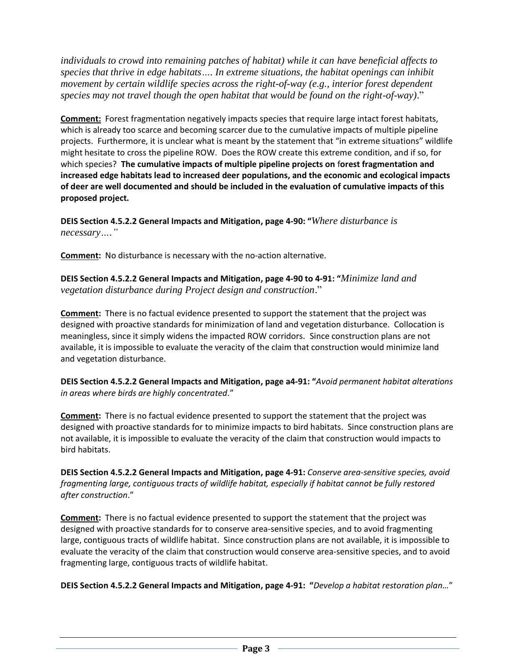*individuals to crowd into remaining patches of habitat) while it can have beneficial affects to species that thrive in edge habitats…. In extreme situations, the habitat openings can inhibit movement by certain wildlife species across the right-of-way (e.g., interior forest dependent species may not travel though the open habitat that would be found on the right-of-way)*."

**Comment:** Forest fragmentation negatively impacts species that require large intact forest habitats, which is already too scarce and becoming scarcer due to the cumulative impacts of multiple pipeline projects. Furthermore, it is unclear what is meant by the statement that "in extreme situations" wildlife might hesitate to cross the pipeline ROW. Does the ROW create this extreme condition, and if so, for which species? **The cumulative impacts of multiple pipeline projects on** f**orest fragmentation and increased edge habitats lead to increased deer populations, and the economic and ecological impacts of deer are well documented and should be included in the evaluation of cumulative impacts of this proposed project.**

**DEIS Section 4.5.2.2 General Impacts and Mitigation, page 4-90: "***Where disturbance is necessary…."*

**Comment:** No disturbance is necessary with the no-action alternative.

**DEIS Section 4.5.2.2 General Impacts and Mitigation, page 4-90 to 4-91: "***Minimize land and vegetation disturbance during Project design and construction*."

**Comment:** There is no factual evidence presented to support the statement that the project was designed with proactive standards for minimization of land and vegetation disturbance. Collocation is meaningless, since it simply widens the impacted ROW corridors. Since construction plans are not available, it is impossible to evaluate the veracity of the claim that construction would minimize land and vegetation disturbance.

**DEIS Section 4.5.2.2 General Impacts and Mitigation, page a4-91: "***Avoid permanent habitat alterations in areas where birds are highly concentrated*."

**Comment:** There is no factual evidence presented to support the statement that the project was designed with proactive standards for to minimize impacts to bird habitats. Since construction plans are not available, it is impossible to evaluate the veracity of the claim that construction would impacts to bird habitats.

**DEIS Section 4.5.2.2 General Impacts and Mitigation, page 4-91:** *Conserve area-sensitive species, avoid fragmenting large, contiguous tracts of wildlife habitat, especially if habitat cannot be fully restored after construction*."

**Comment:** There is no factual evidence presented to support the statement that the project was designed with proactive standards for to conserve area-sensitive species, and to avoid fragmenting large, contiguous tracts of wildlife habitat. Since construction plans are not available, it is impossible to evaluate the veracity of the claim that construction would conserve area-sensitive species, and to avoid fragmenting large, contiguous tracts of wildlife habitat.

**DEIS Section 4.5.2.2 General Impacts and Mitigation, page 4-91: "***Develop a habitat restoration plan…*"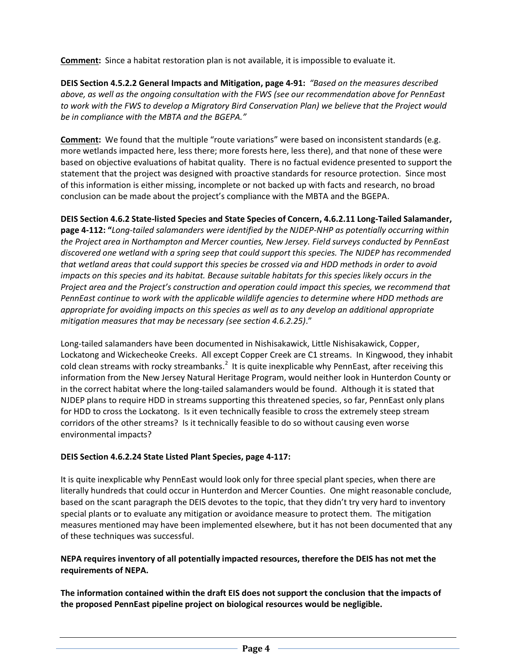**Comment:** Since a habitat restoration plan is not available, it is impossible to evaluate it.

**DEIS Section 4.5.2.2 General Impacts and Mitigation, page 4-91:** *"Based on the measures described above, as well as the ongoing consultation with the FWS (see our recommendation above for PennEast to work with the FWS to develop a Migratory Bird Conservation Plan) we believe that the Project would be in compliance with the MBTA and the BGEPA."*

**Comment:** We found that the multiple "route variations" were based on inconsistent standards (e.g. more wetlands impacted here, less there; more forests here, less there), and that none of these were based on objective evaluations of habitat quality. There is no factual evidence presented to support the statement that the project was designed with proactive standards for resource protection. Since most of this information is either missing, incomplete or not backed up with facts and research, no broad conclusion can be made about the project's compliance with the MBTA and the BGEPA.

**DEIS Section 4.6.2 State-listed Species and State Species of Concern, 4.6.2.11 Long-Tailed Salamander, page 4-112: "***Long-tailed salamanders were identified by the NJDEP-NHP as potentially occurring within the Project area in Northampton and Mercer counties, New Jersey. Field surveys conducted by PennEast discovered one wetland with a spring seep that could support this species. The NJDEP has recommended that wetland areas that could support this species be crossed via and HDD methods in order to avoid impacts on this species and its habitat. Because suitable habitats for this species likely occurs in the Project area and the Project's construction and operation could impact this species, we recommend that PennEast continue to work with the applicable wildlife agencies to determine where HDD methods are appropriate for avoiding impacts on this species as well as to any develop an additional appropriate mitigation measures that may be necessary (see section 4.6.2.25)*."

Long-tailed salamanders have been documented in Nishisakawick, Little Nishisakawick, Copper, Lockatong and Wickecheoke Creeks. All except Copper Creek are C1 streams. In Kingwood, they inhabit cold clean streams with rocky streambanks.<sup>2</sup> It is quite inexplicable why PennEast, after receiving this information from the New Jersey Natural Heritage Program, would neither look in Hunterdon County or in the correct habitat where the long-tailed salamanders would be found. Although it is stated that NJDEP plans to require HDD in streams supporting this threatened species, so far, PennEast only plans for HDD to cross the Lockatong. Is it even technically feasible to cross the extremely steep stream corridors of the other streams? Is it technically feasible to do so without causing even worse environmental impacts?

# **DEIS Section 4.6.2.24 State Listed Plant Species, page 4-117:**

It is quite inexplicable why PennEast would look only for three special plant species, when there are literally hundreds that could occur in Hunterdon and Mercer Counties. One might reasonable conclude, based on the scant paragraph the DEIS devotes to the topic, that they didn't try very hard to inventory special plants or to evaluate any mitigation or avoidance measure to protect them. The mitigation measures mentioned may have been implemented elsewhere, but it has not been documented that any of these techniques was successful.

# **NEPA requires inventory of all potentially impacted resources, therefore the DEIS has not met the requirements of NEPA.**

**The information contained within the draft EIS does not support the conclusion that the impacts of the proposed PennEast pipeline project on biological resources would be negligible.**